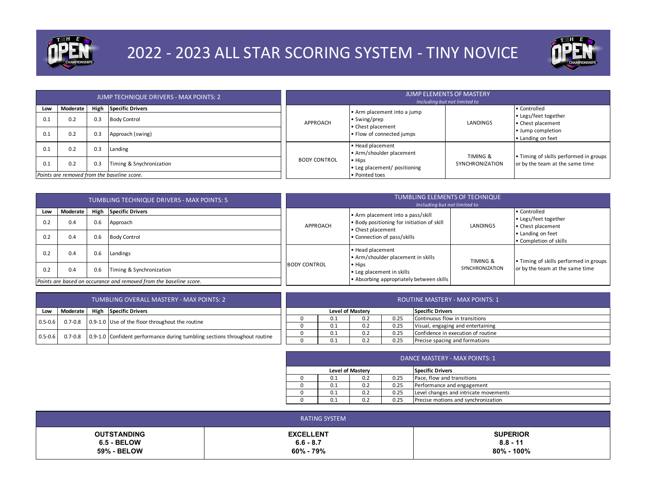

## 2022 - 2023 ALL STAR SCORING SYSTEM - TINY NOVICE



|     |          |     | JUMP TECHNIQUE DRIVERS - MAX POINTS: 2      |                     |                                                | <b>JUMP ELEMENTS OF MASTERY</b><br>Including but not limited to |                                        |                                           |
|-----|----------|-----|---------------------------------------------|---------------------|------------------------------------------------|-----------------------------------------------------------------|----------------------------------------|-------------------------------------------|
| Low | Moderate |     | High Specific Drivers                       |                     | • Arm placement into a jump                    |                                                                 | • Controlled                           |                                           |
| 0.1 | 0.2      | 0.3 | <b>Body Control</b>                         | APPROACH            | • Swing/prep<br>• Chest placement              |                                                                 | LANDINGS                               | • Legs/feet together<br>• Chest placement |
| 0.1 | 0.2      | 0.3 | Approach (swing)                            |                     | . Flow of connected jumps                      |                                                                 | • Jump completion<br>• Landing on feet |                                           |
| 0.1 | 0.2      | 0.3 | Landing                                     |                     | • Head placement<br>• Arm/shoulder placement   | TIMING &                                                        | . Timing of skills performed in groups |                                           |
| 0.1 | 0.2      | 0.3 | Timing & Snychronization                    | <b>BODY CONTROL</b> | $\bullet$ Hips<br>. Leg placement/ positioning | SYNCHRONIZATION                                                 | or by the team at the same time        |                                           |
|     |          |     | Points are removed from the baseline score. |                     | • Pointed toes                                 |                                                                 |                                        |                                           |

|     |          |     | TUMBLING TECHNIQUE DRIVERS - MAX POINTS: 5                         |                                                                             | TUMBLING ELEMENTS OF TECHNIQUE<br>Including but not limited to |                     |                                             |
|-----|----------|-----|--------------------------------------------------------------------|-----------------------------------------------------------------------------|----------------------------------------------------------------|---------------------|---------------------------------------------|
| Low | Moderate |     | High Specific Drivers                                              |                                                                             | . Arm placement into a pass/skill                              |                     | <b>Controlled</b><br>• Legs/feet together   |
| 0.2 | 0.4      | 0.6 | Approach                                                           | . Body positioning for initiation of skill<br>APPROACH<br>• Chest placement | LANDINGS                                                       | • Chest placement   |                                             |
| 0.2 | 0.4      | 0.6 | <b>Body Control</b>                                                |                                                                             | • Connection of pass/skills                                    |                     | • Landing on feet<br>• Completion of skills |
| 0.2 | 0.4      | 0.6 | Landings                                                           |                                                                             | • Head placement<br>• Arm/shoulder placement in skills         | <b>TIMING &amp;</b> | . Timing of skills performed in groups      |
| 0.2 | 0.4      | 0.6 | Timing & Synchronization                                           | <b>BODY CONTROL</b><br>$\bullet$ Hips<br>. Leg placement in skills          |                                                                | SYNCHRONIZATION     | or by the team at the same time             |
|     |          |     | Points are based on occurance and removed from the baseline score. |                                                                             | • Absorbing appropriately between skills                       |                     |                                             |

| TUMBLING OVERALL MASTERY - MAX POINTS: 2 |                                                                                                  |  |  |  |     |                  |      | <b>ROUTINE MASTERY - MAX POINTS: 1</b> |
|------------------------------------------|--------------------------------------------------------------------------------------------------|--|--|--|-----|------------------|------|----------------------------------------|
| Low                                      | High Specific Drivers<br><b>Moderate</b>                                                         |  |  |  |     | Level of Mastery |      | <b>Specific Drivers</b>                |
|                                          | 0.7-0.8 0.9-1.0 Use of the floor throughout the routine<br>$0.5 - 0.6$                           |  |  |  | 0.1 | 0.2              | 0.25 | Continuous flow in transitions         |
|                                          |                                                                                                  |  |  |  | 0.1 | 0.2              | 0.25 | Visual, engaging and entertaining      |
|                                          |                                                                                                  |  |  |  |     | 0.2              | 0.25 | Confidence in execution of routine     |
|                                          | 0.7-0.8 0.9-1.0 Confident performance during tumbling sections throughout routine<br>$0.5 - 0.6$ |  |  |  |     | 0.2              | 0.25 | Precise spacing and formations         |

| DANCE MASTERY - MAX POINTS: 1 |                  |      |                                       |  |  |  |  |  |  |
|-------------------------------|------------------|------|---------------------------------------|--|--|--|--|--|--|
|                               | Level of Mastery |      | Specific Drivers                      |  |  |  |  |  |  |
| 0.1                           | 0.2              | 0.25 | Pace, flow and transitions            |  |  |  |  |  |  |
| 0.1                           | 0.2              | 0.25 | Performance and engagement            |  |  |  |  |  |  |
| 0.1                           | 0.2              | 0.25 | Level changes and intricate movements |  |  |  |  |  |  |
| 0.1                           | 0.2              | 0.25 | Precise motions and synchronization   |  |  |  |  |  |  |

| RATING SYSTEM      |                  |                 |  |  |
|--------------------|------------------|-----------------|--|--|
| <b>OUTSTANDING</b> | <b>EXCELLENT</b> | <b>SUPERIOR</b> |  |  |
| $6.5 - BELOW$      | $6.6 - 8.7$      | $8.8 - 11$      |  |  |
| <b>59% - BELOW</b> | 60% - 79%        | 80% - 100%      |  |  |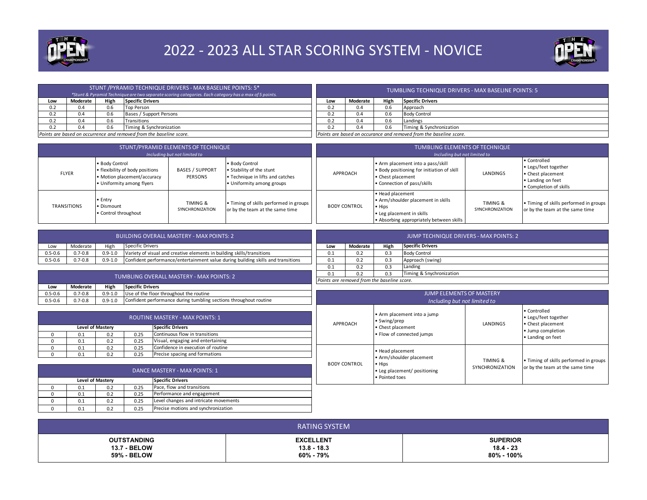

## 2022 - 2023 ALL STAR SCORING SYSTEM - NOVICE



|     |                 |      | STUNT / PYRAMID TECHNIQUE DRIVERS - MAX BASELINE POINTS: 5*<br>*Stunt & Pyramid Technique are two separate scoring categories. Each category has a max of 5 points. | TUMBLING TECHNIQUE DRIVERS - MAX BASELINE POINTS: 5 |          |      |                                                                    |  |
|-----|-----------------|------|---------------------------------------------------------------------------------------------------------------------------------------------------------------------|-----------------------------------------------------|----------|------|--------------------------------------------------------------------|--|
| Low | <b>Moderate</b> | High | <b>Specific Drivers</b>                                                                                                                                             | Low                                                 | Moderate | High | <b>Specific Drivers</b>                                            |  |
| 0.2 | 0.4             |      | Top Person                                                                                                                                                          | 0.2                                                 | 0.4      | ን.6  | Approach                                                           |  |
| 0.2 | 0.4             |      | Bases / Support Persons                                                                                                                                             | 0.2                                                 | 0.4      | 0.6  | <b>Body Control</b>                                                |  |
| 0.2 | 0.4             |      | Transitions                                                                                                                                                         | 0.2                                                 | 0.4      | 0.6  | Landings                                                           |  |
| 0.2 | 0.4             |      | Timing & Synchronization                                                                                                                                            |                                                     | 0.4      | 0.6  | Timing & Synchronization                                           |  |
|     |                 |      | Points are based on occurrence and removed from the baseline score.                                                                                                 |                                                     |          |      | Points are based on occurance and removed from the baseline score. |  |

|                    |                                                                                                               | STUNT/PYRAMID ELEMENTS OF TECHNIQUE<br>Including but not limited to |                                                                                                             | TUMBLING ELEMENTS OF TECHNIQUE<br>Including but not limited to |                                                                                                                                           |                             |                                                                                                          |
|--------------------|---------------------------------------------------------------------------------------------------------------|---------------------------------------------------------------------|-------------------------------------------------------------------------------------------------------------|----------------------------------------------------------------|-------------------------------------------------------------------------------------------------------------------------------------------|-----------------------------|----------------------------------------------------------------------------------------------------------|
| <b>FLYER</b>       | • Body Control<br>. flexibility of body positions<br>• Motion placement/accuracy<br>• Uniformity among flyers | <b>BASES / SUPPORT</b><br>PERSONS                                   | • Body Control<br>• Stability of the stunt<br>• Technique in lifts and catches<br>• Uniformity among groups | APPROACH                                                       | . Arm placement into a pass/skill<br>. Body positioning for initiation of skill<br>• Chest placement<br>• Connection of pass/skills       | LANDINGS                    | • Controlled<br>• Legs/feet together<br>• Chest placement<br>. Landing on feet<br>• Completion of skills |
| <b>TRANSITIONS</b> | • Entry<br>• Dismount<br>• Control throughout                                                                 | TIMING &<br>SYNCHRONIZATION                                         | • Timing of skills performed in groups  <br>or by the team at the same time                                 | <b>BODY CONTROL</b>                                            | • Head placement<br>• Arm/shoulder placement in skills<br>• Hips<br>. Leg placement in skills<br>• Absorbing appropriately between skills | TIMING &<br>SYNCHRONIZATION | . Timing of skills performed in groups<br>or by the team at the same time                                |

| Low         | Moderate    | High        | Specific Drivers                                                                 | Low           | Moderate | High |
|-------------|-------------|-------------|----------------------------------------------------------------------------------|---------------|----------|------|
| $0.5 - 0.6$ | $0.7 - 0.8$ | $0.9 - 1.0$ | Variety of visual and creative elements in building skills/transitions           | 0.1           | 0.2      | 0.3  |
| $0.5 - 0.6$ | $0.7 - 0.8$ | $0.9 - 1.0$ | Confident performance/entertainment value during building skills and transitions | 0.1           | 0.2      | 0.3  |
|             |             |             |                                                                                  | $\sim$ $\sim$ | $ -$     | $ -$ |

|                                                    | <b>JUMP TECHNIQUE DRIVERS - MAX POINTS: 2</b> |     |                     |  |  |  |  |  |  |  |
|----------------------------------------------------|-----------------------------------------------|-----|---------------------|--|--|--|--|--|--|--|
| <b>Specific Drivers</b><br>High<br>Moderate<br>Low |                                               |     |                     |  |  |  |  |  |  |  |
| 0.1                                                | 0.2                                           | 0.3 | <b>Body Control</b> |  |  |  |  |  |  |  |
| 0.1                                                | 0.2                                           | 0.3 | Approach (swing)    |  |  |  |  |  |  |  |
| 0.1                                                | 0.2                                           | 0.3 | Landing             |  |  |  |  |  |  |  |
| Timing & Snychronization<br>0.3<br>0.2<br>0.1      |                                               |     |                     |  |  |  |  |  |  |  |
|                                                    | Points are removed from the baseline score.   |     |                     |  |  |  |  |  |  |  |

|                                                                                                                | TUMBLING OVERALL MASTERY - MAX POINTS: 2                              |  |  |  |  |  |  |  |  |
|----------------------------------------------------------------------------------------------------------------|-----------------------------------------------------------------------|--|--|--|--|--|--|--|--|
| Low                                                                                                            | <b>Specific Drivers</b><br>Moderate<br>High                           |  |  |  |  |  |  |  |  |
| $0.5 - 0.6$                                                                                                    | Use of the floor throughout the routine<br>$0.7 - 0.8$<br>$0.9 - 1.0$ |  |  |  |  |  |  |  |  |
| Confident performance during tumbling sections throughout routine<br>$0.9 - 1.0$<br>$0.7 - 0.8$<br>$0.5 - 0.6$ |                                                                       |  |  |  |  |  |  |  |  |

|                         | <b>ROUTINE MASTERY - MAX POINTS: 1</b> |     |      |                                    |  |  |  |  |
|-------------------------|----------------------------------------|-----|------|------------------------------------|--|--|--|--|
| <b>Level of Mastery</b> |                                        |     |      | <b>Specific Drivers</b>            |  |  |  |  |
| 0                       | 0.1                                    | 0.2 | 0.25 | Continuous flow in transitions     |  |  |  |  |
| n                       | 0.1                                    | 0.2 | 0.25 | Visual, engaging and entertaining  |  |  |  |  |
| ŋ                       | 0.1                                    | 0.2 | 0.25 | Confidence in execution of routine |  |  |  |  |
| U                       | 0.1                                    | 0.2 | 0.25 | Precise spacing and formations     |  |  |  |  |

|                     | <b>JUMP ELEMENTS OF MASTERY</b><br>Including but not limited to                                          |                             |                                                                                                     |  |  |  |  |  |  |  |
|---------------------|----------------------------------------------------------------------------------------------------------|-----------------------------|-----------------------------------------------------------------------------------------------------|--|--|--|--|--|--|--|
| APPROACH            | • Arm placement into a jump<br>• Swing/prep<br>• Chest placement<br>. Flow of connected jumps            | LANDINGS                    | • Controlled<br>• Legs/feet together<br>• Chest placement<br>• Jump completion<br>• Landing on feet |  |  |  |  |  |  |  |
| <b>BODY CONTROL</b> | • Head placement<br>• Arm/shoulder placement<br>• Hips<br>• Leg placement/ positioning<br>• Pointed toes | TIMING &<br>SYNCHRONIZATION | • Timing of skills performed in groups<br>or by the team at the same time                           |  |  |  |  |  |  |  |

| DANCE MASTERY - MAX POINTS: 1 |     |                  |      |                                       |
|-------------------------------|-----|------------------|------|---------------------------------------|
|                               |     | Level of Mastery |      | <b>Specific Drivers</b>               |
|                               | 0.1 | 0.2              | 0.25 | Pace, flow and transitions            |
|                               | 0.1 | 0.2              | 0.25 | Performance and engagement            |
|                               | 0.1 | 0.2              | 0.25 | Level changes and intricate movements |
|                               | 0.1 | 0.2              | 0.25 | Precise motions and synchronization   |

| RATING SYSTEM       |                  |                 |  |
|---------------------|------------------|-----------------|--|
| <b>OUTSTANDING</b>  | <b>EXCELLENT</b> | <b>SUPERIOR</b> |  |
| <b>13.7 - BELOW</b> | $13.8 - 18.3$    | $18.4 - 23$     |  |
| <b>59% - BELOW</b>  | 60% - 79%        | 80% - 100%      |  |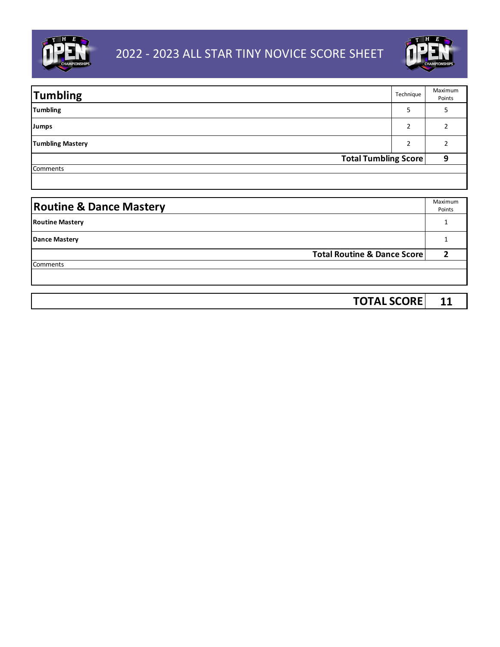



| <b>Tumbling</b>             | Technique | Maximum<br>Points |
|-----------------------------|-----------|-------------------|
| <b>Tumbling</b>             | 5         |                   |
| Jumps                       |           |                   |
| <b>Tumbling Mastery</b>     |           |                   |
| <b>Total Tumbling Score</b> |           |                   |
| Comments                    |           |                   |

| <b>Routine &amp; Dance Mastery</b> | Maximum<br>Points |
|------------------------------------|-------------------|
| <b>Routine Mastery</b>             |                   |
| <b>Dance Mastery</b>               |                   |
| Total Routine & Dance Score        |                   |
| Comments                           |                   |
|                                    |                   |

| <b>TOTAL SCORE</b> |  |
|--------------------|--|
|--------------------|--|